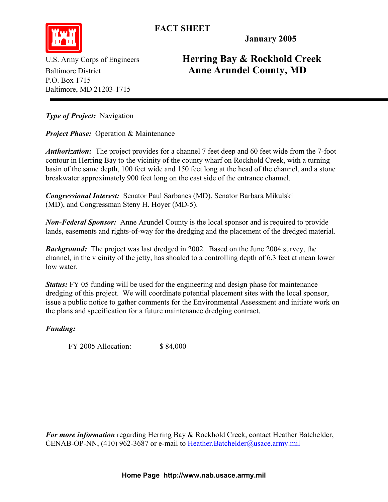**FACT SHEET** 



**January 2005** 

P.O. Box 1715 Baltimore, MD 21203-1715

U.S. Army Corps of Engineers **Herring Bay & Rockhold Creek**  Baltimore District **Anne Arundel County, MD** 

*Type of Project:* Navigation

*Project Phase: Operation & Maintenance* 

*Authorization:* The project provides for a channel 7 feet deep and 60 feet wide from the 7-foot contour in Herring Bay to the vicinity of the county wharf on Rockhold Creek, with a turning basin of the same depth, 100 feet wide and 150 feet long at the head of the channel, and a stone breakwater approximately 900 feet long on the east side of the entrance channel.

*Congressional Interest:* Senator Paul Sarbanes (MD), Senator Barbara Mikulski (MD), and Congressman Steny H. Hoyer (MD-5).

*Non-Federal Sponsor:* Anne Arundel County is the local sponsor and is required to provide lands, easements and rights-of-way for the dredging and the placement of the dredged material.

*Background:* The project was last dredged in 2002. Based on the June 2004 survey, the channel, in the vicinity of the jetty, has shoaled to a controlling depth of 6.3 feet at mean lower low water.

*Status:* FY 05 funding will be used for the engineering and design phase for maintenance dredging of this project. We will coordinate potential placement sites with the local sponsor, issue a public notice to gather comments for the Environmental Assessment and initiate work on the plans and specification for a future maintenance dredging contract.

## *Funding:*

FY 2005 Allocation: \$ 84,000

*For more information* regarding Herring Bay & Rockhold Creek, contact Heather Batchelder, CENAB-OP-NN, (410) 962-3687 or e-mail to Heather.Batchelder@usace.army.mil